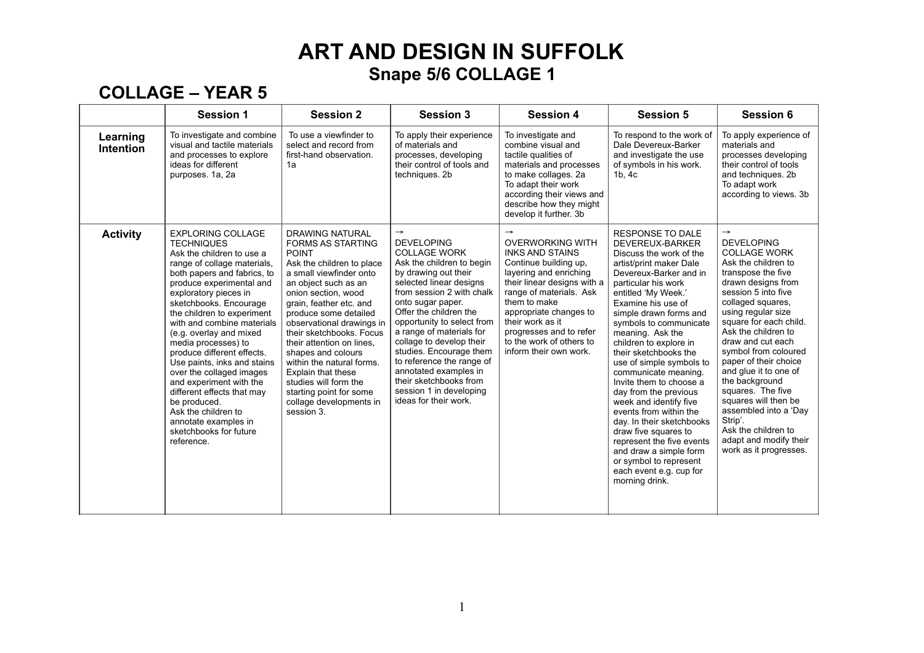## **ART AND DESIGN IN SUFFOLK Snape 5/6 COLLAGE 1**

#### **COLLAGE – YEAR 5**

|                       | <b>Session 1</b>                                                                                                                                                                                                                                                                                                                                                                                                                                                                                                                                                                               | <b>Session 2</b>                                                                                                                                                                                                                                                                                                                                                                                                                                                                          | <b>Session 3</b>                                                                                                                                                                                                                                                                                                                                                                                                                                                           | <b>Session 4</b>                                                                                                                                                                                                                                                                                                               | <b>Session 5</b>                                                                                                                                                                                                                                                                                                                                                                                                                                                                                                                                                                                                                                                         | <b>Session 6</b>                                                                                                                                                                                                                                                                                                                                                                                                                                                                                                             |
|-----------------------|------------------------------------------------------------------------------------------------------------------------------------------------------------------------------------------------------------------------------------------------------------------------------------------------------------------------------------------------------------------------------------------------------------------------------------------------------------------------------------------------------------------------------------------------------------------------------------------------|-------------------------------------------------------------------------------------------------------------------------------------------------------------------------------------------------------------------------------------------------------------------------------------------------------------------------------------------------------------------------------------------------------------------------------------------------------------------------------------------|----------------------------------------------------------------------------------------------------------------------------------------------------------------------------------------------------------------------------------------------------------------------------------------------------------------------------------------------------------------------------------------------------------------------------------------------------------------------------|--------------------------------------------------------------------------------------------------------------------------------------------------------------------------------------------------------------------------------------------------------------------------------------------------------------------------------|--------------------------------------------------------------------------------------------------------------------------------------------------------------------------------------------------------------------------------------------------------------------------------------------------------------------------------------------------------------------------------------------------------------------------------------------------------------------------------------------------------------------------------------------------------------------------------------------------------------------------------------------------------------------------|------------------------------------------------------------------------------------------------------------------------------------------------------------------------------------------------------------------------------------------------------------------------------------------------------------------------------------------------------------------------------------------------------------------------------------------------------------------------------------------------------------------------------|
| Learning<br>Intention | To investigate and combine<br>visual and tactile materials<br>and processes to explore<br>ideas for different<br>purposes. 1a, 2a                                                                                                                                                                                                                                                                                                                                                                                                                                                              | To use a viewfinder to<br>select and record from<br>first-hand observation.<br>1a                                                                                                                                                                                                                                                                                                                                                                                                         | To apply their experience<br>of materials and<br>processes, developing<br>their control of tools and<br>techniques. 2b                                                                                                                                                                                                                                                                                                                                                     | To investigate and<br>combine visual and<br>tactile qualities of<br>materials and processes<br>to make collages. 2a<br>To adapt their work<br>according their views and<br>describe how they might<br>develop it further. 3b                                                                                                   | To respond to the work of<br>Dale Devereux-Barker<br>and investigate the use<br>of symbols in his work.<br>1b.4c                                                                                                                                                                                                                                                                                                                                                                                                                                                                                                                                                         | To apply experience of<br>materials and<br>processes developing<br>their control of tools<br>and techniques. 2b<br>To adapt work<br>according to views. 3b                                                                                                                                                                                                                                                                                                                                                                   |
| <b>Activity</b>       | <b>EXPLORING COLLAGE</b><br><b>TECHNIQUES</b><br>Ask the children to use a<br>range of collage materials,<br>both papers and fabrics, to<br>produce experimental and<br>exploratory pieces in<br>sketchbooks. Encourage<br>the children to experiment<br>with and combine materials<br>(e.g. overlay and mixed<br>media processes) to<br>produce different effects.<br>Use paints, inks and stains<br>over the collaged images<br>and experiment with the<br>different effects that may<br>be produced.<br>Ask the children to<br>annotate examples in<br>sketchbooks for future<br>reference. | <b>DRAWING NATURAL</b><br><b>FORMS AS STARTING</b><br><b>POINT</b><br>Ask the children to place<br>a small viewfinder onto<br>an object such as an<br>onion section, wood<br>grain, feather etc. and<br>produce some detailed<br>observational drawings in<br>their sketchbooks. Focus<br>their attention on lines.<br>shapes and colours<br>within the natural forms.<br>Explain that these<br>studies will form the<br>starting point for some<br>collage developments in<br>session 3. | $\rightarrow$<br><b>DEVELOPING</b><br><b>COLLAGE WORK</b><br>Ask the children to begin<br>by drawing out their<br>selected linear designs<br>from session 2 with chalk<br>onto sugar paper.<br>Offer the children the<br>opportunity to select from<br>a range of materials for<br>collage to develop their<br>studies. Encourage them<br>to reference the range of<br>annotated examples in<br>their sketchbooks from<br>session 1 in developing<br>ideas for their work. | $\rightarrow$<br><b>OVERWORKING WITH</b><br><b>INKS AND STAINS</b><br>Continue building up,<br>layering and enriching<br>their linear designs with a<br>range of materials. Ask<br>them to make<br>appropriate changes to<br>their work as it<br>progresses and to refer<br>to the work of others to<br>inform their own work. | <b>RESPONSE TO DALE</b><br>DEVEREUX-BARKER<br>Discuss the work of the<br>artist/print maker Dale<br>Devereux-Barker and in<br>particular his work<br>entitled 'My Week.'<br>Examine his use of<br>simple drawn forms and<br>symbols to communicate<br>meaning. Ask the<br>children to explore in<br>their sketchbooks the<br>use of simple symbols to<br>communicate meaning.<br>Invite them to choose a<br>day from the previous<br>week and identify five<br>events from within the<br>day. In their sketchbooks<br>draw five squares to<br>represent the five events<br>and draw a simple form<br>or symbol to represent<br>each event e.g. cup for<br>morning drink. | $\rightarrow$<br><b>DEVELOPING</b><br><b>COLLAGE WORK</b><br>Ask the children to<br>transpose the five<br>drawn designs from<br>session 5 into five<br>collaged squares,<br>using regular size<br>square for each child.<br>Ask the children to<br>draw and cut each<br>symbol from coloured<br>paper of their choice<br>and glue it to one of<br>the background<br>squares. The five<br>squares will then be<br>assembled into a 'Day<br>Strip'.<br>Ask the children to<br>adapt and modify their<br>work as it progresses. |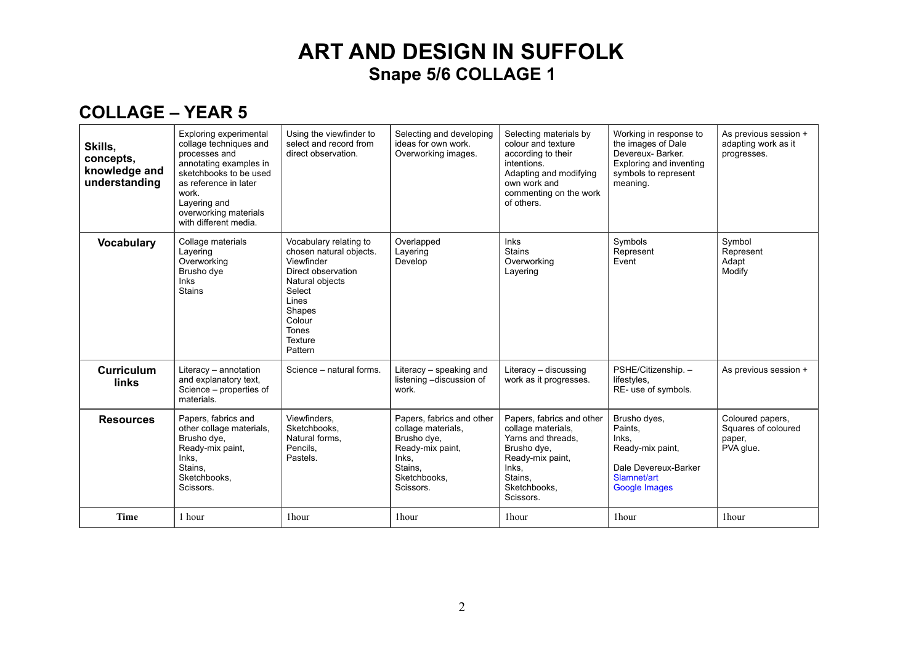## **ART AND DESIGN IN SUFFOLK Snape 5/6 COLLAGE 1**

#### **COLLAGE – YEAR 5**

| Skills,<br>concepts,<br>knowledge and<br>understanding | Exploring experimental<br>collage techniques and<br>processes and<br>annotating examples in<br>sketchbooks to be used<br>as reference in later<br>work.<br>Layering and<br>overworking materials<br>with different media. | Using the viewfinder to<br>select and record from<br>direct observation.                                                                                                                     | Selecting and developing<br>ideas for own work.<br>Overworking images.                                                              | Selecting materials by<br>colour and texture<br>according to their<br>intentions.<br>Adapting and modifying<br>own work and<br>commenting on the work<br>of others. | Working in response to<br>the images of Dale<br>Devereux-Barker.<br>Exploring and inventing<br>symbols to represent<br>meaning. | As previous session +<br>adapting work as it<br>progresses.    |
|--------------------------------------------------------|---------------------------------------------------------------------------------------------------------------------------------------------------------------------------------------------------------------------------|----------------------------------------------------------------------------------------------------------------------------------------------------------------------------------------------|-------------------------------------------------------------------------------------------------------------------------------------|---------------------------------------------------------------------------------------------------------------------------------------------------------------------|---------------------------------------------------------------------------------------------------------------------------------|----------------------------------------------------------------|
| <b>Vocabulary</b>                                      | Collage materials<br>Lavering<br>Overworking<br>Brusho dye<br><b>Inks</b><br><b>Stains</b>                                                                                                                                | Vocabulary relating to<br>chosen natural objects.<br>Viewfinder<br>Direct observation<br>Natural objects<br>Select<br>Lines<br>Shapes<br>Colour<br><b>Tones</b><br><b>Texture</b><br>Pattern | Overlapped<br>Layering<br>Develop                                                                                                   | <b>Inks</b><br><b>Stains</b><br>Overworking<br>Layering                                                                                                             | Symbols<br>Represent<br>Event                                                                                                   | Symbol<br>Represent<br>Adapt<br>Modify                         |
| <b>Curriculum</b><br><b>links</b>                      | Literacy - annotation<br>and explanatory text.<br>Science - properties of<br>materials.                                                                                                                                   | Science - natural forms.                                                                                                                                                                     | Literacy - speaking and<br>listening -discussion of<br>work.                                                                        | Literacy - discussing<br>work as it progresses.                                                                                                                     | PSHE/Citizenship. -<br>lifestyles,<br>RE- use of symbols.                                                                       | As previous session +                                          |
| <b>Resources</b>                                       | Papers, fabrics and<br>other collage materials,<br>Brusho dye,<br>Ready-mix paint,<br>Inks,<br>Stains,<br>Sketchbooks,<br>Scissors.                                                                                       | Viewfinders.<br>Sketchbooks.<br>Natural forms,<br>Pencils.<br>Pastels.                                                                                                                       | Papers, fabrics and other<br>collage materials,<br>Brusho dye,<br>Ready-mix paint,<br>Inks,<br>Stains,<br>Sketchbooks,<br>Scissors. | Papers, fabrics and other<br>collage materials.<br>Yarns and threads.<br>Brusho dye,<br>Ready-mix paint,<br>Inks,<br>Stains,<br>Sketchbooks,<br>Scissors.           | Brusho dyes,<br>Paints,<br>Inks.<br>Ready-mix paint,<br>Dale Devereux-Barker<br>Slamnet/art<br><b>Google Images</b>             | Coloured papers,<br>Squares of coloured<br>paper,<br>PVA glue. |
| <b>Time</b>                                            | 1 hour                                                                                                                                                                                                                    | 1hour                                                                                                                                                                                        | 1hour                                                                                                                               | 1hour                                                                                                                                                               | 1hour                                                                                                                           | 1hour                                                          |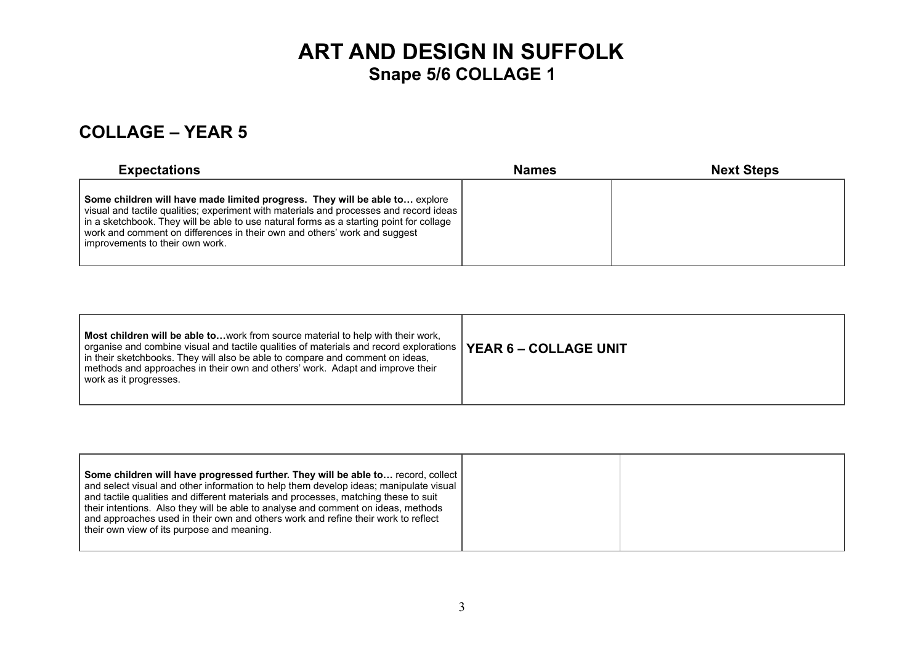## **ART AND DESIGN IN SUFFOLK Snape 5/6 COLLAGE 1**

### **COLLAGE – YEAR 5**

| <b>Expectations</b>                                                                                                                                                                                                                                                                                                                                                             | <b>Names</b> | <b>Next Steps</b> |
|---------------------------------------------------------------------------------------------------------------------------------------------------------------------------------------------------------------------------------------------------------------------------------------------------------------------------------------------------------------------------------|--------------|-------------------|
| Some children will have made limited progress. They will be able to explore<br>visual and tactile qualities; experiment with materials and processes and record ideas<br>n a sketchbook. They will be able to use natural forms as a starting point for collage<br>work and comment on differences in their own and others' work and suggest<br>improvements to their own work. |              |                   |

| <b>Most children will be able to</b> work from source material to help with their work,<br>organise and combine visual and tactile qualities of materials and record explorations  <br>in their sketchbooks. They will also be able to compare and comment on ideas,<br>methods and approaches in their own and others' work. Adapt and improve their<br>work as it progresses. | <b>YEAR 6 - COLLAGE UNIT</b> |
|---------------------------------------------------------------------------------------------------------------------------------------------------------------------------------------------------------------------------------------------------------------------------------------------------------------------------------------------------------------------------------|------------------------------|
|---------------------------------------------------------------------------------------------------------------------------------------------------------------------------------------------------------------------------------------------------------------------------------------------------------------------------------------------------------------------------------|------------------------------|

| Some children will have progressed further. They will be able to record, collect<br>and select visual and other information to help them develop ideas; manipulate visual<br>and tactile qualities and different materials and processes, matching these to suit<br>their intentions. Also they will be able to analyse and comment on ideas, methods<br>and approaches used in their own and others work and refine their work to reflect<br>their own view of its purpose and meaning. |  |
|------------------------------------------------------------------------------------------------------------------------------------------------------------------------------------------------------------------------------------------------------------------------------------------------------------------------------------------------------------------------------------------------------------------------------------------------------------------------------------------|--|
|                                                                                                                                                                                                                                                                                                                                                                                                                                                                                          |  |